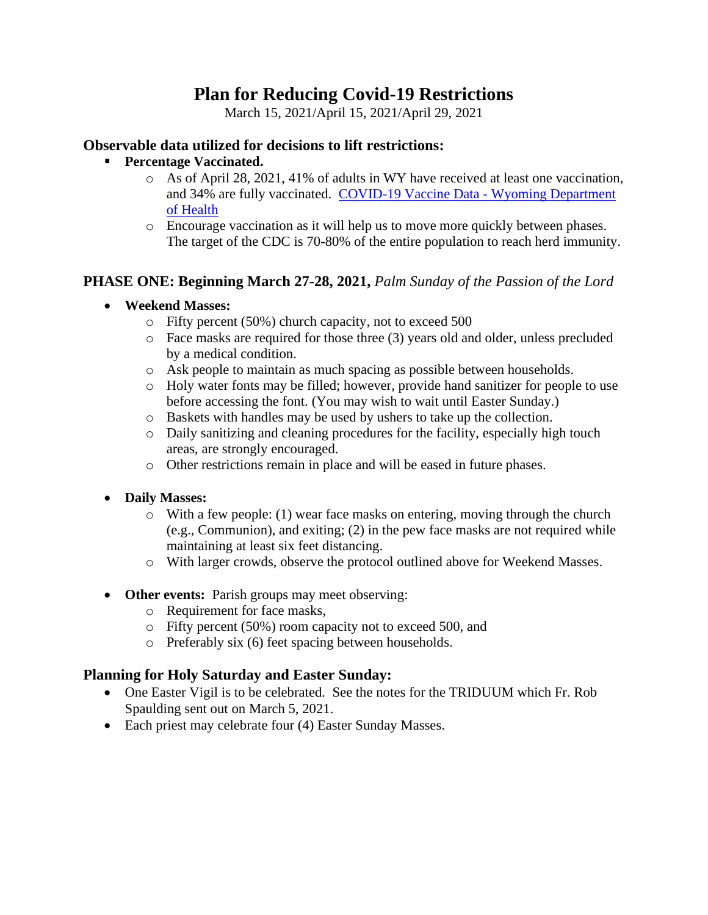# **Plan for Reducing Covid-19 Restrictions**

March 15, 2021/April 15, 2021/April 29, 2021

#### **Observable data utilized for decisions to lift restrictions:**

- **Percentage Vaccinated.**
	- o As of April 28, 2021, 41% of adults in WY have received at least one vaccination, and 34% are fully vaccinated. [COVID-19 Vaccine Data -](https://health.wyo.gov/publichealth/immunization/wyoming-covid-19-vaccine-information/covid-19-vaccine-distribution-data/) Wyoming Department [of Health](https://health.wyo.gov/publichealth/immunization/wyoming-covid-19-vaccine-information/covid-19-vaccine-distribution-data/)
	- o Encourage vaccination as it will help us to move more quickly between phases. The target of the CDC is 70-80% of the entire population to reach herd immunity.

## **PHASE ONE: Beginning March 27-28, 2021,** *Palm Sunday of the Passion of the Lord*

- **Weekend Masses:**
	- o Fifty percent (50%) church capacity, not to exceed 500
	- o Face masks are required for those three (3) years old and older, unless precluded by a medical condition.
	- o Ask people to maintain as much spacing as possible between households.
	- o Holy water fonts may be filled; however, provide hand sanitizer for people to use before accessing the font. (You may wish to wait until Easter Sunday.)
	- o Baskets with handles may be used by ushers to take up the collection.
	- o Daily sanitizing and cleaning procedures for the facility, especially high touch areas, are strongly encouraged.
	- o Other restrictions remain in place and will be eased in future phases.
- **Daily Masses:**
	- o With a few people: (1) wear face masks on entering, moving through the church (e.g., Communion), and exiting; (2) in the pew face masks are not required while maintaining at least six feet distancing.
	- o With larger crowds, observe the protocol outlined above for Weekend Masses.
- **Other events:** Parish groups may meet observing:
	- o Requirement for face masks,
	- o Fifty percent (50%) room capacity not to exceed 500, and
	- o Preferably six (6) feet spacing between households.

### **Planning for Holy Saturday and Easter Sunday:**

- One Easter Vigil is to be celebrated. See the notes for the TRIDUUM which Fr. Rob Spaulding sent out on March 5, 2021.
- Each priest may celebrate four (4) Easter Sunday Masses.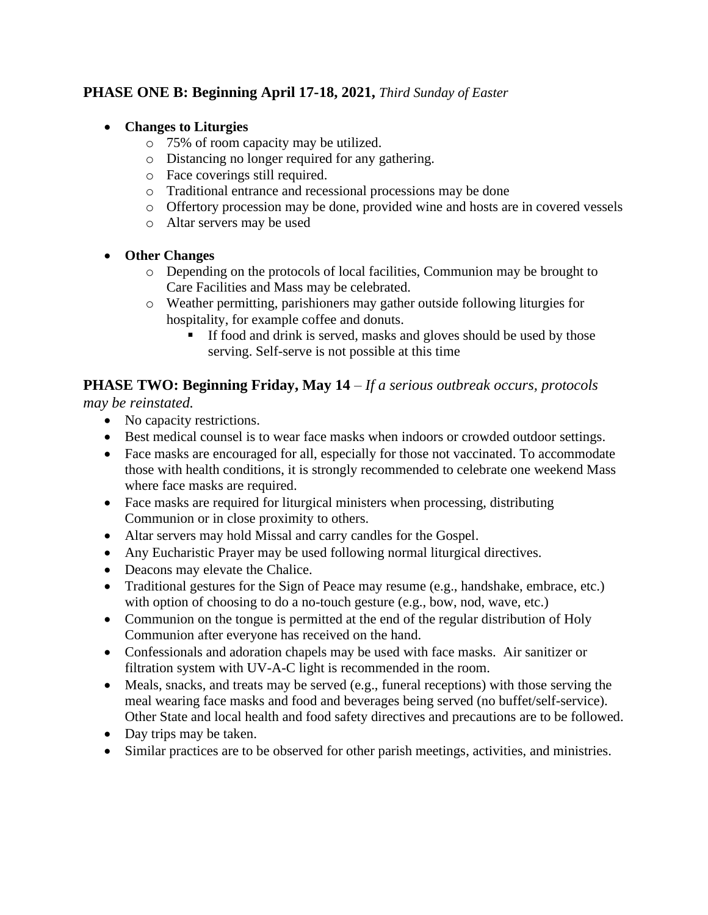## **PHASE ONE B: Beginning April 17-18, 2021,** *Third Sunday of Easter*

#### • **Changes to Liturgies**

- o 75% of room capacity may be utilized.
- o Distancing no longer required for any gathering.
- o Face coverings still required.
- o Traditional entrance and recessional processions may be done
- o Offertory procession may be done, provided wine and hosts are in covered vessels
- o Altar servers may be used
- **Other Changes**
	- o Depending on the protocols of local facilities, Communion may be brought to Care Facilities and Mass may be celebrated.
	- o Weather permitting, parishioners may gather outside following liturgies for hospitality, for example coffee and donuts.
		- If food and drink is served, masks and gloves should be used by those serving. Self-serve is not possible at this time

## **PHASE TWO: Beginning Friday, May 14** *– If a serious outbreak occurs, protocols*

*may be reinstated.*

- No capacity restrictions.
- Best medical counsel is to wear face masks when indoors or crowded outdoor settings.
- Face masks are encouraged for all, especially for those not vaccinated. To accommodate those with health conditions, it is strongly recommended to celebrate one weekend Mass where face masks are required.
- Face masks are required for liturgical ministers when processing, distributing Communion or in close proximity to others.
- Altar servers may hold Missal and carry candles for the Gospel.
- Any Eucharistic Prayer may be used following normal liturgical directives.
- Deacons may elevate the Chalice.
- Traditional gestures for the Sign of Peace may resume (e.g., handshake, embrace, etc.) with option of choosing to do a no-touch gesture (e.g., bow, nod, wave, etc.)
- Communion on the tongue is permitted at the end of the regular distribution of Holy Communion after everyone has received on the hand.
- Confessionals and adoration chapels may be used with face masks. Air sanitizer or filtration system with UV-A-C light is recommended in the room.
- Meals, snacks, and treats may be served (e.g., funeral receptions) with those serving the meal wearing face masks and food and beverages being served (no buffet/self-service). Other State and local health and food safety directives and precautions are to be followed.
- Day trips may be taken.
- Similar practices are to be observed for other parish meetings, activities, and ministries.